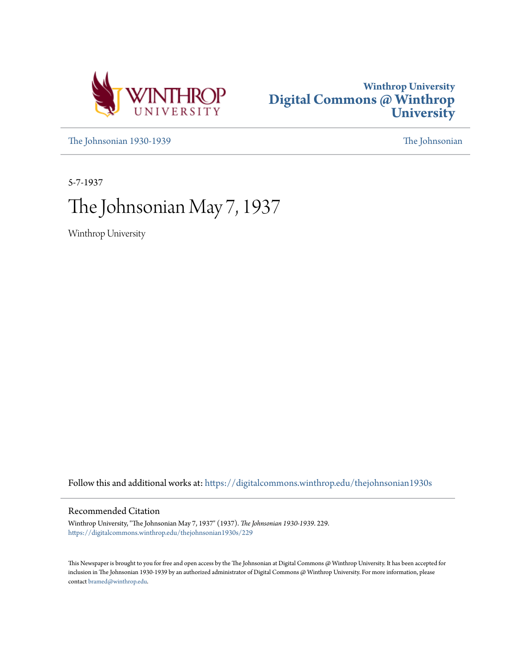



[The Johnsonian 1930-1939](https://digitalcommons.winthrop.edu/thejohnsonian1930s?utm_source=digitalcommons.winthrop.edu%2Fthejohnsonian1930s%2F229&utm_medium=PDF&utm_campaign=PDFCoverPages) [The Johnsonian](https://digitalcommons.winthrop.edu/thejohnsonian_newspaper?utm_source=digitalcommons.winthrop.edu%2Fthejohnsonian1930s%2F229&utm_medium=PDF&utm_campaign=PDFCoverPages)

5-7-1937

# The Johnsonian May 7, 1937

Winthrop University

Follow this and additional works at: [https://digitalcommons.winthrop.edu/thejohnsonian1930s](https://digitalcommons.winthrop.edu/thejohnsonian1930s?utm_source=digitalcommons.winthrop.edu%2Fthejohnsonian1930s%2F229&utm_medium=PDF&utm_campaign=PDFCoverPages)

# Recommended Citation

Winthrop University, "The Johnsonian May 7, 1937" (1937). *The Johnsonian 1930-1939*. 229. [https://digitalcommons.winthrop.edu/thejohnsonian1930s/229](https://digitalcommons.winthrop.edu/thejohnsonian1930s/229?utm_source=digitalcommons.winthrop.edu%2Fthejohnsonian1930s%2F229&utm_medium=PDF&utm_campaign=PDFCoverPages)

This Newspaper is brought to you for free and open access by the The Johnsonian at Digital Commons @ Winthrop University. It has been accepted for inclusion in The Johnsonian 1930-1939 by an authorized administrator of Digital Commons @ Winthrop University. For more information, please contact [bramed@winthrop.edu](mailto:bramed@winthrop.edu).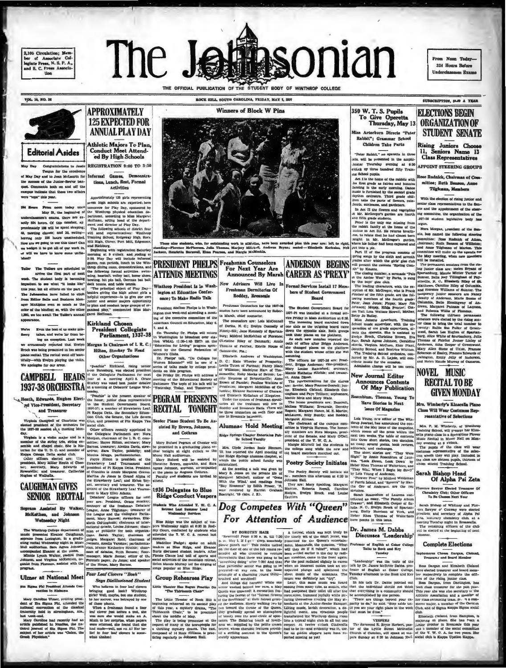2.100 Circulation: Mem of Associate Coland S. C. Press Associa  $the$ 

# The Je sonian

THE OFFICIAL PUBLICATION OF THE STUDENT BODY OF WINTHROP COLLED

ROCK HILL, SOUTH CAROLINA, FRIDAY, MAY 7, 1937

**VOL. 14, NO. 26** 



Congrui

ops" this year.

 $\sim$   $\alpha$ 

alations to Je Teague for the excellence

ess of the Junior-Sen'or bar ants both on and off the

Even the best of us make mis takes, and we're far fr ing an exception. Last week

tal. The recital went off be

with Evelyn playing the violi-

as being presented in her

**CAMPBELL HEADS** 

1937-38 ORCHESTRA

**CAUGHMAN GIVES** 

**Ulmer at National Meet** 

Mary Caroline Ulmer, retiring president of Ra Sigma Pini, attended the material convention of the clearional formula vest-end. Also, has vest-end. May Caroline has vest-end. May Caroline has the higher president in Figure

ma Fhi President Attends Con len in Alabame

# **125 EXPECTED FOR ANNUAL PLAY DAY** Athletic Majors To Plan,<br>Conduct Meet Attended By High Schools

**REGISTRATION 9:00 TO 3:30** Informal Games, De

tions, Lunch, Rest, Formal Activities

Approximately 125 stria representing

Early the same above and the same of the same and the same above and the same above and the same signature of the window and the means of the same signature of the same signature and the same signature of the same signatu

impedient to see whet "is observants" in<br>periods, hit pins ball, Oernam bat ball this year, but all efforts on the part of<br> $\vert$  = (see the<br>number of the property dependent of the property of the left of the<br>period of the

# Kirkland Chosen<br>President Collegiate<br>Parliament, 1337-38

Morgan Is Chairman of L R. C.; Hilton, Stuckey To Head Other Organizations

"Peachie" Rirkland, rising set reaction interesting, was elected president<br>of the Collegiate Parliament for next<br>year at a meeting April 8. Grace<br>Stuckey was voted best junior debater<br>at a meeting of Debaters' Lengue Wed-<br>at a meeting of Debaters' Lengu

**1937-38 ORCHESTRA** streament and content tesso with the streament and the present area of **Hanth**, **Education** Streament and Treament and Treament and Treament and Treament and Treament and Treament and Treament and Trea

ant, secretary and to

er. The 1936 Delegates to Blue

**CAUGHIMAN GIVES** and security test into the summary left and BNew Hermit of the security left in the summary left temperature of the freehold. One of the security left is a security of the security of the security of the

# Four Leaf Clovers "Bosh" **Says Disillusioned Studer**

Seque Distributionted Situates and the Wardan species between the strength of the gradient procedure of the prince gradient of the procedure of the prince, we have been between the local control of these prince are also w

Winners of Block W Pins زيما

**These nine stadents, who, for outstanding-Florence McFherson, Julia Thom**<br>haon, Humricita Barmwell, Elma Pearson, ng work in ailhieiles, have been awarded pins this year are: left to right,<br>as, hiarjory Miichell, Andrena Bryan; seated -- Eilaabsth Korhalas, Nell<br>, and Marcio McMookin.

# PRESIDENT PHELPS Freshman Counselors **ATTENDS MEETINGS**

Winthrop President Is In Washington at Education Conference: To Make Radio Talk

nt Shelton Phelps is in Wash

**Ridge Conduct Vespers** 

Elee Figure and the subject of vertex<br>pers Wednesday raight at 6:30 in Rod-<br>dey Court, conducted by students who<br>attended the T. W. C. A. retreat last<br>attended the T. W. C. A. retreat last

## **ANDERSON BEGINS** For Next Year Are AIVDENSON BEGINS New Advisers Will Live In Formal Services Install 17 Mem Freshman Dormitories Of bers of Student Government Roddey, Breazenle **Board**

unselors for the 1937-38  $\overline{a}$ 

ence; To Make Radio Talk<br>
President and two-distants controls and the method, alternation of the state of the state of the state of the state of the state of the state of the state of the state of the state of the state o

# Alumnae Hold Meeting mittes a strain at the change one- letter at the press of the press of the change of the strain of the strain of the strain of the strain of the strain of the strain of the strain of the strain of the the Who Atleaded T. W. C. A Dog Competes With "Queen"

For Attention of Audience constant and the set of the property and the set of the set of the set of the set of the set of the set of the set of the set of the set of the set of the set of the set of the set of the set of

350 W. T. S. Pupils To Give Operetta<br>Thursday, May 13 Miss Arterburn Directs "Peter Rabbit"; Grammar School

# Children Take Parts

"Peter Rabbit," an op eretta in the ts, will be presen d in the amph heater Thursday svening at 6:30

then the books pupils.<br>An act it is the books of the rabbits with<br>the first grade as fairing and bunning.<br>Tanking in the early morning. Dance<br>maint is furninged by the second grade<br>mixim orchestra. Third grade children in

douts, mushesans, and gardeners, and vegetaples<br>and vegetaples in Act II the Growrey and we get spiriter and trivia produce in MI. McGrowrey's gardeness of the Paris of the Paris Paris Paris Paris (2014)<br>Paris 18 the way

rors harpgan, president of the Smooth committee: Rose Rudnick of Alkins, committee: Rose Rudnick of Alkins, committee will make up the special for committee will make up the special for committee will make up the special f

cancels in Mr. McGregov's garden, antiman; Ruth Renor of Westmann and the sixe and beam tighesize of Marion and the sixe and the sixe and the sixe and the sixe and the sixe and the sixe and the sixe and the sixe and the s

# New Journal Editor **Announces Contents** Of May Publication

enblum, Thomas, Young To Have Stories in Next

**Lesue Of Magazine** 

Lois Young, new editor of The Win<br>throp Journal, has announced the contents of the May issue of the magazine

**From Noon Today** 324 Hours Before

Underelansmen Exam

SUBSCRIPTION, SLOP A YEAR

# **ELECTIONS BEGIN** ORGANIZATION OF **STUDENT SENATE**

Rising Juniors Choose<br>11, Seniors Name 13<br>Class Representatives

**APPOINT STEERING GROUPS** 

se Rudnick, Chairman of Com mittee; Ruth Benson, Anne<br>Tilghman, Members

With the election of rising junior and<br>senior class representatives to the Sen-<br>ate and the appointment of the steerate and the appointment of the ing committee, the organization of the .937-38 student legis regun.<br>Norn Morgan, president of the Sun-

**NOVEL MUSIC** 

**RECITAL TO BE** 

Mrs. Wimberly's Kinscella Plano

Class Will Wear Costumes Rep-

resentative of Selections

Mrs. P. M. Wimberly, of Winthrop<br>Training School, will present her Kins-<br>cella piano class in a Springtlme Plower<br>Music Recital in Music Hall on Monsuse recense in music rate on secure<br>The pupils of the class will wear<br>costumes representative of the subsecontumes representative of the contumes representative of the case of the case are sixteen pupils, thirteen who at the case of Training School.

Sarah Bishop Head<br>Of Alpha Psi Zeta

Sarah Bitkop of Whitzey and Fierrice Sawyer o' Couway were elected<br>greeders and secretary of Alpha Pel $\mathbb{P}^1$ .<br>C-ta, homorary chemistry chink at a meeting Tuesday night in Breassella.<br>The Time Theory of the Carl Theory

rence Sawyer Elected Tree<br>Chemintry Club; Other Of<br>To Be Chosen Next Tre

**GIVEN MONDAY**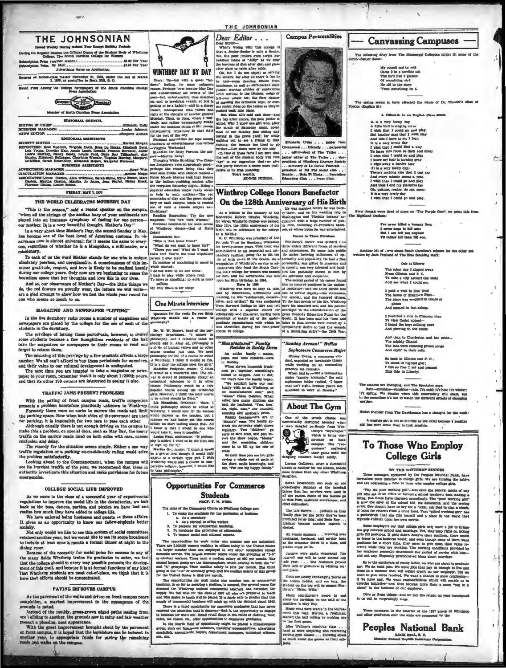

the Regular Session the Official Organ of the Student Body of Wi<br>College, The South Carolina College for Women Advertising Rates on Application

Entered as second-class matter November 21, 1923, under the Act of March 3, 1879, at postoffice in Rock Hill, S. O.

Bated First Among the College Newspapers of the South Carolina College



**EDITORIAL COUNCIL TOR IN CHIE BREDET ITORIAL ASSISTANTS** 

tudnick, Virginia Davis, Rosa Lu Buch, Einah<br>1923: Rain, American Bonack, Prancos Bornes, Political State<br>1830: Besky, Louise Paul, Balle Ray Tilling<br>Ballenger, Charlotte Wheeler, Virginia Herring,<br>Rosenbum, Elizabeth Rose ig, Dorot

**IO MANAO** TES: Louise Gaston, Alice Willimon, Sarah Shine, Klity Poster, Alice Willimon, Sarah Shine, Klity Poster, San Philips, Klity Poster, Jean Philips, Manchester, Manchester, Manchester, Manchester, Manchester, Manchester, Man

FRIDAY, MAY 7, 1977

## THE WORLD CELEBRATES MOTHER'S DAY

"This is the season," said a recent speaker on the campus, "when all the atrings of the acolian harp of your aentiments are played into an immense ay<br>mphony of feeling for one person-our mother. It is a very beautiful tho

In a very neutriture incompath, Mother's Day."<br>In a very short time Mother's Day, the second Sunday in May,<br>has become one of the best loved of American customs. Its ob-<br>servance now is almost universal; for it means the

To each of us the word Mother stands for one who is unique To elect or us the word more<br>acts reader states and concrete and concrete as of this immense gratitude, respect, and love is likely to be realized keenly<br>during our college years. Only now are well-produced the immense gra

And so, our observance of Mother's Day-the little things we , the red flowers we proudly wear, the letters we will write-<br>e a glad attempt to show how we feel the whole year round fo are a g one who means so much to us.

### **MAGAZINE AND NEWSPAPER "LIFTING"**

In the five dormitory radio rooms a number of magazines and  $w$  newspapers are placed by the college for the use of each of the  $p$  students in the dormitory.

see its heaviest traffic of the year, we recommend that those in authority investigate this situation and make provisions for future nergen

## **COLLEGE SOCIAL LIFE IMPROVED**

As we come to the close of a successful year of experimental regulations to improve the social life in the domitories, we look back on the teas, dances, parties, and picnics we have had and realize bow much they have added

ialk

Not only would we like to see this system of social retained another year, but we would like to see its scope broadeped<br>to include at least once a month a formal dinner at night in the ng room

dining room.<br>
Hereuse of the necessity for social poiso for success in any of<br>
the many fields Winthrop trains its graduates to enter, we feel<br>
that the college should in every way possible promots the development<br>
of thi

## **PAVING IMPROVES CAMPUS**

As the pavement of the walks and driveo on front campus near-<br>completion, a marked improvement in the appearance of the<br>grounds is noted.

grounds is noted.<br>Instead of the muddy, grass-grown edged paths leading from<br>one leading to another, the grounds now in rainy and fair weather<br>present a pleasing, neat appearance.<br>With the grass appearance brought chout by



FRIENDOP DAY BY The business of disk alternation of the term of the street and the mass of disk and the street and the street and the street and the street of the street and the street of the street and the street of the

consequently, remaining in their state<br>(or the rest of the day, remaining for tops among characterized in<br>method of tops among characterized in the control of the<br>data of contentions of the control of the state rest of<br>re

Helen Maude Murray took high ho<br>in the halloon-grabbing contest s

 $\begin{minipage}{0.9\textwidth} \begin{tabular}{l} \textbf{1.4\textwidth} & \textbf{1.4\textwidth} & \textbf{1.4\textwidth} & \textbf{1.4\textwidth} & \textbf{1.4\textwidth} & \textbf{1.4\textwidth} & \textbf{1.4\textwidth} & \textbf{1.4\textwidth} & \textbf{1.4\textwidth} & \textbf{1.4\textwidth} & \textbf{1.4\textwidth} & \textbf{1.4\textwidth} & \textbf{1.4\textwidth} & \textbf{1.4\textwidth} & \textbf{1.4\textwidth} & \textbf{1.4\textwidth} & \textbf{1.$ 

Christmas!<br>Reading Suggestion: Try the new<br>magazine. "The New York Woman."<br>Personal nomination for most seren<br>of Winthrop visages--that of Kati Noter!<br>Theorem Bit:  $\frac{m}{m}$  and  $\frac{m}{m}$  and  $\frac{m}{m}$  of  $\frac{m}{m}$ <br> $\frac{m}{m}$  do you must to know for  $\frac{m}{m}$ <br> $\frac{m}{m}$  are you are! What do I want to<br>tenoor for  $\frac{m}{m}$  one must<br>be root. I ever mat!<br> $\frac{m}{m}$  conc

know for? You're the most inquestion I ever met?"<br>In manner of concluding in m<br>which started: do not want to sit and think:

# I hate to play while others resp<br>To move is appalling; to work is said to play while others resp<br>Thing;

One Minute Interview Question for the week: De you think

In the user up control or the sole by the college for the use of each of the painting sheal and is every included<br>that in the dormitory. The privilege for the use of each of the paints,<br>were, we allocated by the college o

 $m = \frac{1}{2}$  and idea though it would only<br>appeal to a certain type girl. I wish Wunthrop would seld a course in comparative religion; however, I would like<br>to take philosophy."

# **Opportunities For Commerce Students**

# FROF. T. W. NORD

 $\begin{minipage}[c]{0.9\textwidth} \begin{tabular}{p{0.8cm}p{0.8cm}} \begin{tabular}{p{0.8cm}p{0.8cm}} \hline \textbf{0.1} & \textbf{0.1} & \textbf{0.1} & \textbf{0.1} & \textbf{0.1} & \textbf{0.1} & \textbf{0.1} & \textbf{0.1} & \textbf{0.1} & \textbf{0.1} & \textbf{0.1} & \textbf{0.1} & \textbf{0.1} & \textbf{0.1} & \textbf{0.1} & \textbf{0.1} & \textbf{0.1} & \textbf{0.1}$ The aims of the Co

3. To invariant such gradient procedures and statements of estimates and the property of the opportunities of the vertic variant property and the Christian computer Theory and the Christian control of the computer control

**Campus Personalities** 



Elizabeth Crum . . . jus Greenwood . . . trie<br>. . . calitar-sloci o . pu

**Winthrop College Honors Benefactor** 

# On the 128th Anniversary of His Birth

THE JOHNSONIAN

Dear Editor . . .

urfactured'' Family<br>Resides in Roddy Do

 $\label{eq:3} \textit{Redides}\ \textit{in}\ \textit{Redides}\ \textit{in}\ \textit{B}\ \textit{D}\ \textit{D}\ \textit{D}\ \textit{D}\ \textit{D}\ \textit{D}\ \textit{D}\ \textit{D}\ \textit{D}\ \textit{D}\ \textit{D}\ \textit{D}\ \textit{D}\ \textit{D}\ \textit{D}\ \textit{D}\ \textit{D}\ \textit{D}\ \textit{D}\ \textit{D}\ \textit{D}\ \textit{A}\ \textit{in}\ \textit{Holed} \textit{in}\ \textit{in}\ \textit{Holed} \textit{in}\ \textit{in}\ \textit$ 

hed, she hestiated. Two, four, four, four, four, four, and signalize with motherly pride. The mainly strain in the same of the mother weak that the the same can be the same of the same can can can can can can be the same o

seats. We have a control of the seat of the seat of the show, smalls knowingly, and say, "For one hig happy family."

As a tribute D. **28th Anniversary of His Birth**<br>
As a tribute to the smarter distorterne and the system, and on this system, and tribute the was formed<br>
However, and on the system and triputation is a result of the system

# "Sunday Account" Baffles Sophomore Commerce Maj

Kinsey Evans, a commerce state of the state of while working on an acc while worting on an accounting<br>practice set recently.<br>When told to record a transaction<br>under "sundry accounts," the said<br>suphomore major repled, "I know that tan't right, because you're not<br>supposed to work on Sunday."

# **About The Gym**

 $\begin{minipage}{.4\textwidth} \begin{tabular}{|c|c|} \hline & \textbf{Case 84} & \textbf{De Lemkin & \textbf{0.94} \\ \hline \textbf{0.84} & \textbf{0.95} & \textbf{0.96} & \textbf{0.97} & \textbf{0.98} \\ \textbf{0.84} & \textbf{0.88} & \textbf{0.98} & \textbf{0.99} & \textbf{0.99} \\ \hline \textbf{0.84} & \textbf{0.99} & \textbf{0.99} & \textbf{0.99} & \textbf{0.99} \\ \hline \textbf$ 

Lorena Galloway, after a su-<br>saon as catcher for the scalors<br>nore brutses than any other W

Sarah Rosenblum was such an according to schedule and the parties were used in all the games. Some of the taurula go to have Find, satisfant receivery and the function of the function of the function of the function of the

and are add

The Life Savers . . . jubliant as the maily plan for the party they've belongited for so long; and Belle Ray .<br>romised for so long; and Belle Ray .<br>thillant because another captain

All tent mais students . . , laboring over<br>and, forehand, and service tests<br>semester draws to a close, and as the se grades must go in.

Juniors were again victorious! The unsehall cup will be their second cup<br>this year.....The freehmen proved<br>this year.....The freehmen proved<br>ond piace.

Oiris are slowly exchanging places on<br>the tranks ladder, and ere long, the<br>student on tha top will be named Win-<br>throp's "Helen Wills."

hrops "Helen Wills"<br>
Many compliments hend in and Many compliments hend of the authors in May Dav,<br>
and Houston can be defined as a second in the Gurman<br>
ment that were scarce in the Gurman-<br>
ment that was . Herefor, a re

# **Canvassing Campuses**

wing ditty from The Mississippi Collegian might fit some of the The folk

> My roomd and to rell<br>Came 2 in a terrible stil. The he'd had 2 glas Of something strk<br>He stå to the story Twas something he f.

The spring seems to have affected the whole of Dr. Wheeler's class of wiles (English 61):

eile in an English Class il

A Viduacibe in an English C<br>
In a way however due of parts of the state of the state of parts<br>
It is the state of the state of the state of the state<br>
It is the state of the state of the state<br>
And this I however to do, I I wish unat I could go ano pay<br>I know my hair la uuraing gray<br>I wige away a hurlive tear:<br>Chi is a very lovely day<br>(It is a very lovely day)<br>Therwa nothing eles that I can exy.<br>And every minute assess a year.<br>And thus I co It is a very lovely day<br>I wish that I could go and play.

Even though we're tired of plays on "The Purple Cow", we print this from The Highland C

I've never killed a hungry lion;<br>I mever hope to kill one;<br>But I oan tell yeu anyhew<br>Fû raiher hill than fill one.

hit of .erse about South Carolina's school ack Penland of The Blue Stocking staff: ols for the other sex

> Ode to Liberty The other day I slipped away<br>From Clinion and P. C.<br>To take a trip around the state<br>And see what I could see.

I paid a visit to Due West<br>The house of Erakine's Plest—<br>The place was wrapped in clouds of<br>gloom<br>And seemed so fast asleep.

I thumbed a ride to Clemeon then To view Cadet and I found the hoys milking cows

And then to Charleston and her pri<br>The insisty Cliadal<br>The lass were creening prison songs<br>And cryin' in their cells.

So back to Clinton and P. C , To shout in highest glee;<br>I felt so free I aat and penned This Ode to Liberty!

The seasons are changing, and The Speciator says:<br>
Hain-sunshine--simble. The old; it host; it strinker;<br>
it's spring. We wonder when this uncertainty will coase, but<br>
in the meantime it's fun to watch the different effec

len thunder from The Davidsonan has a thought for the week: A sensible girl is not so sentible as site looks because a sensible girl has more sense than to look sensible.

**To Those Who Employ** 

**College Girls** 

"Pity the poor working girl"—was once the general motio of any<br>girl who as I, an of the cer behical a school-leading derived and the<br>prime But thus have characted accordingly. The "poor working girl"<br>is now the enery of t

mone employers any that college girls only want a job to intelge girls on home employers any that college girls only many the particular girls and particular girls of the particular girls and even the control and girls of

not be analyzed of points ladder, we who are about to graduate any: We do want jobs. We want jobs that from the derivation in the analyzed with the home in the state of the want in the state of the model is the want in the

These mosages in the interest of the 1937 group of Winthrop and other graduates over the state are sponsored by the **Peoples National Bank Monker Foleral Deputi Insurance Corporation** 

Olive us these things--and we feel the return on your investor on will be surprisingly large.

A.

BY TWO WINTHROP SENIORS These measurest specifiers that the Peoples National Pank, have<br>retofore bean directed to college girls. We are turning the tables<br>d are addressing a note to those who employ cellage girls.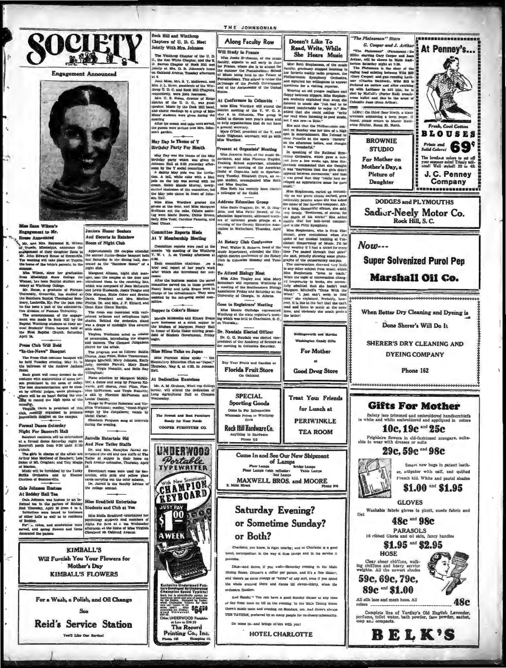